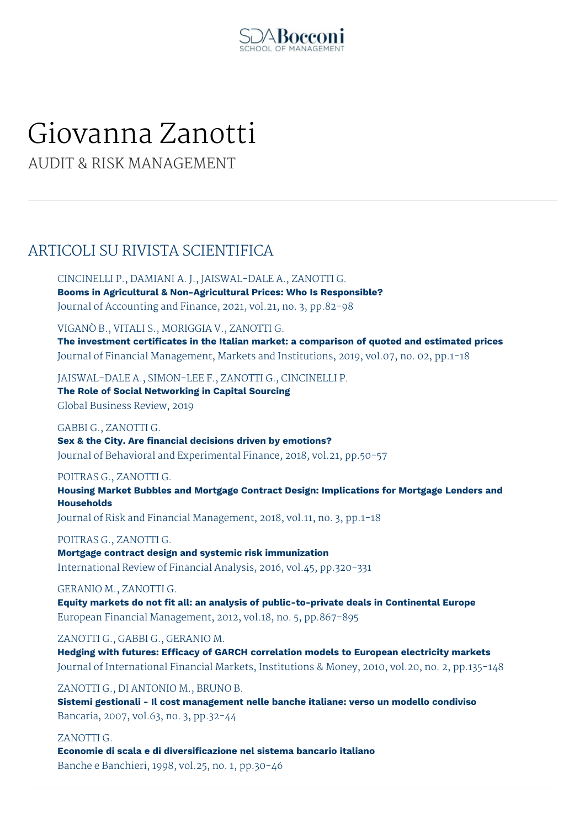

# Giovanna Zanotti

AUDIT & RISK MANAGEMENT

# ARTICOLI SU RIVISTA SCIENTIFICA

CINCINELLI P., DAMIANI A. J., JAISWAL-DALE A., ZANOTTI G. **Booms in Agricultural & Non-Agricultural Prices: Who Is Responsible?** Journal of Accounting and Finance, 2021, vol.21, no. 3, pp.82-98

VIGANÒ B., VITALI S., MORIGGIA V., ZANOTTI G.

**The investment certificates in the Italian market: a comparison of quoted and estimated prices** Journal of Financial Management, Markets and Institutions, 2019, vol.07, no. 02, pp.1-18

JAISWAL-DALE A., SIMON-LEE F., ZANOTTI G., CINCINELLI P. **The Role of Social Networking in Capital Sourcing** Global Business Review, 2019

GABBI G., ZANOTTI G. **Sex & the City. Are financial decisions driven by emotions?** Journal of Behavioral and Experimental Finance, 2018, vol.21, pp.50-57

POITRAS G., ZANOTTI G.

**Housing Market Bubbles and Mortgage Contract Design: Implications for Mortgage Lenders and Households**

Journal of Risk and Financial Management, 2018, vol.11, no. 3, pp.1-18

POITRAS G., ZANOTTI G.

**Mortgage contract design and systemic risk immunization** International Review of Financial Analysis, 2016, vol.45, pp.320-331

GERANIO M., ZANOTTI G.

**Equity markets do not fit all: an analysis of public-to-private deals in Continental Europe** European Financial Management, 2012, vol.18, no. 5, pp.867-895

ZANOTTI G., GABBI G., GERANIO M.

**Hedging with futures: Efficacy of GARCH correlation models to European electricity markets** Journal of International Financial Markets, Institutions & Money, 2010, vol.20, no. 2, pp.135-148

ZANOTTI G., DI ANTONIO M., BRUNO B. **Sistemi gestionali - Il cost management nelle banche italiane: verso un modello condiviso** Bancaria, 2007, vol.63, no. 3, pp.32-44

ZANOTTI G.

**Economie di scala e di diversificazione nel sistema bancario italiano** Banche e Banchieri, 1998, vol.25, no. 1, pp.30-46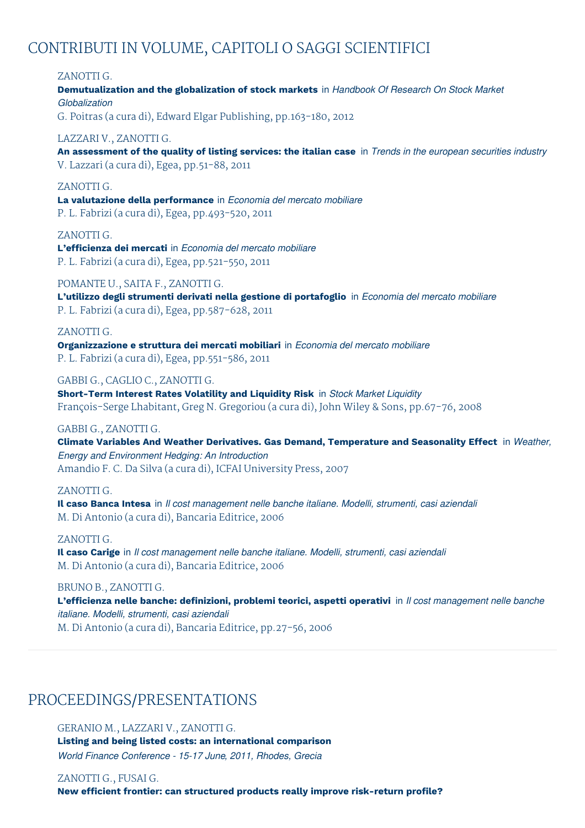# CONTRIBUTI IN VOLUME, CAPITOLI O SAGGI SCIENTIFICI

ZANOTTI G.

**Demutualization and the globalization of stock markets** in *Handbook Of Research On Stock Market Globalization*

G. Poitras (a cura di), Edward Elgar Publishing, pp.163-180, 2012

LAZZARI V., ZANOTTI G.

An assessment of the quality of listing services: the italian case in Trends in the european securities industry V. Lazzari (a cura di), Egea, pp.51-88, 2011

# ZANOTTI G.

**La valutazione della performance** in *Economia del mercato mobiliare* P. L. Fabrizi (a cura di), Egea, pp.493-520, 2011

ZANOTTI G. **L'efficienza dei mercati** in *Economia del mercato mobiliare* P. L. Fabrizi (a cura di), Egea, pp.521-550, 2011

POMANTE U., SAITA F., ZANOTTI G. **L'utilizzo degli strumenti derivati nella gestione di portafoglio** in *Economia del mercato mobiliare* P. L. Fabrizi (a cura di), Egea, pp.587-628, 2011

ZANOTTI G. **Organizzazione e struttura dei mercati mobiliari** in *Economia del mercato mobiliare* P. L. Fabrizi (a cura di), Egea, pp.551-586, 2011

GABBI G., CAGLIO C., ZANOTTI G. **Short-Term Interest Rates Volatility and Liquidity Risk** in *Stock Market Liquidity* François-Serge Lhabitant, Greg N. Gregoriou (a cura di), John Wiley & Sons, pp.67-76, 2008

## GABBI G., ZANOTTI G.

**Climate Variables And Weather Derivatives. Gas Demand, Temperature and Seasonality Effect** in *Weather, Energy and Environment Hedging: An Introduction* Amandio F. C. Da Silva (a cura di), ICFAI University Press, 2007

# ZANOTTI G.

**Il caso Banca Intesa** in *Il cost management nelle banche italiane. Modelli, strumenti, casi aziendali* M. Di Antonio (a cura di), Bancaria Editrice, 2006

## ZANOTTI G.

**Il caso Carige** in *Il cost management nelle banche italiane. Modelli, strumenti, casi aziendali* M. Di Antonio (a cura di), Bancaria Editrice, 2006

BRUNO B., ZANOTTI G.

**L'efficienza nelle banche: definizioni, problemi teorici, aspetti operativi** in *Il cost management nelle banche italiane. Modelli, strumenti, casi aziendali* M. Di Antonio (a cura di), Bancaria Editrice, pp.27-56, 2006

# PROCEEDINGS/PRESENTATIONS

GERANIO M., LAZZARI V., ZANOTTI G. **Listing and being listed costs: an international comparison** *World Finance Conference - 15-17 June, 2011, Rhodes, Grecia*

ZANOTTI G., FUSAI G. **New efficient frontier: can structured products really improve risk-return profile?**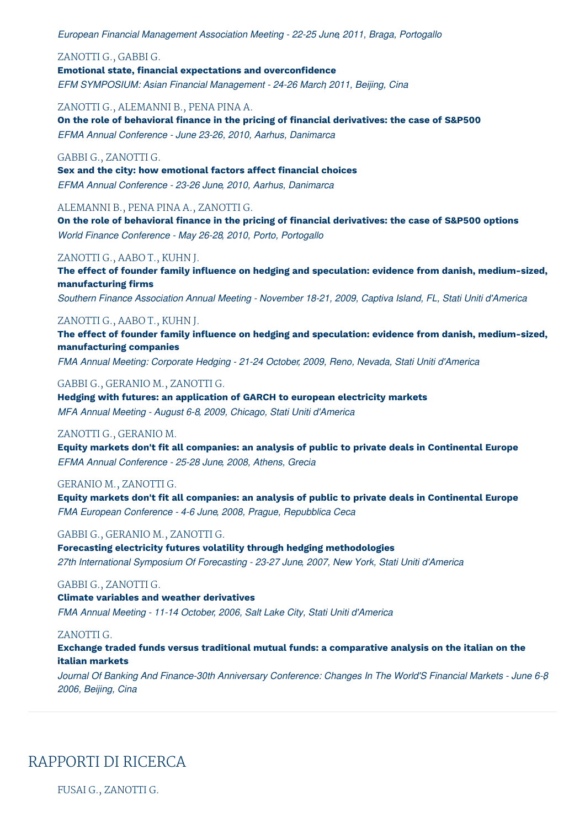*European Financial Management Association Meeting - 22-25 June, 2011, Braga, Portogallo*

ZANOTTI G., GABBI G.

# **Emotional state, financial expectations and overconfidence**

*EFM SYMPOSIUM: Asian Financial Management - 24-26 March, 2011, Beijing, Cina*

ZANOTTI G., ALEMANNI B., PENA PINA A.

**On the role of behavioral finance in the pricing of financial derivatives: the case of S&P500** *EFMA Annual Conference - June 23-26, 2010, Aarhus, Danimarca*

#### GABBI G., ZANOTTI G.

**Sex and the city: how emotional factors affect financial choices** *EFMA Annual Conference - 23-26 June, 2010, Aarhus, Danimarca*

ALEMANNI B., PENA PINA A., ZANOTTI G.

**On the role of behavioral finance in the pricing of financial derivatives: the case of S&P500 options** *World Finance Conference - May 26-28, 2010, Porto, Portogallo*

#### ZANOTTI G., AABO T., KUHN J.

**The effect of founder family influence on hedging and speculation: evidence from danish, medium-sized, manufacturing firms**

*Southern Finance Association Annual Meeting - November 18-21, 2009, Captiva Island, FL, Stati Uniti d'America*

## ZANOTTI G., AABO T., KUHN J.

**The effect of founder family influence on hedging and speculation: evidence from danish, medium-sized, manufacturing companies**

*FMA Annual Meeting: Corporate Hedging - 21-24 October, 2009, Reno, Nevada, Stati Uniti d'America*

GABBI G., GERANIO M., ZANOTTI G.

**Hedging with futures: an application of GARCH to european electricity markets** *MFA Annual Meeting - August 6-8, 2009, Chicago, Stati Uniti d'America*

#### ZANOTTI G., GERANIO M.

**Equity markets don't fit all companies: an analysis of public to private deals in Continental Europe** *EFMA Annual Conference - 25-28 June, 2008, Athens, Grecia*

#### GERANIO M., ZANOTTI G.

**Equity markets don't fit all companies: an analysis of public to private deals in Continental Europe** *FMA European Conference - 4-6 June, 2008, Prague, Repubblica Ceca*

#### GABBI G., GERANIO M., ZANOTTI G.

**Forecasting electricity futures volatility through hedging methodologies** *27th International Symposium Of Forecasting - 23-27 June, 2007, New York, Stati Uniti d'America*

## GABBI G., ZANOTTI G.

**Climate variables and weather derivatives** *FMA Annual Meeting - 11-14 October, 2006, Salt Lake City, Stati Uniti d'America*

#### ZANOTTI G.

**Exchange traded funds versus traditional mutual funds: a comparative analysis on the italian on the italian markets**

*Journal Of Banking And Finance-30th Anniversary Conference: Changes In The World'S Financial Markets - June 6-8, 2006, Beijing, Cina*

# RAPPORTI DI RICERCA

FUSAI G., ZANOTTI G.